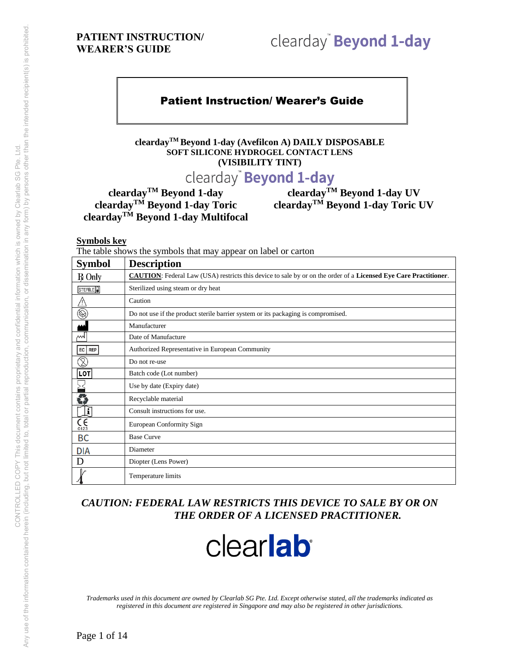# clearday" Beyond 1-day

## Patient Instruction/ Wearer's Guide

**cleardayTM Beyond 1-day (Avefilcon A) DAILY DISPOSABLE SOFT SILICONE HYDROGEL CONTACT LENS (VISIBILITY TINT)**

# clearday<sup>®</sup> Beyond 1-day

**clearday**<sup>TM</sup> **Beyond 1-day**<br>**clearday**<sup>TM</sup> **Beyond 1-day Multifocal**<br>**clearday**<sup>TM</sup> **Beyond 1-day Multifocal** 

**cleardayTM Beyond 1-day cleardayTM Beyond 1-day UV cleardayTM Beyond 1-day Toric cleardayTM Beyond 1-day Toric UV**

**Symbols key** 

The table shows the symbols that may appear on label or carton

| <b>Symbol</b>                  | <b>Description</b>                                                                                                      |
|--------------------------------|-------------------------------------------------------------------------------------------------------------------------|
| <b>R</b> Only                  | <b>CAUTION:</b> Federal Law (USA) restricts this device to sale by or on the order of a Licensed Eye Care Practitioner. |
| STERILE <sup>D</sup>           | Sterilized using steam or dry heat                                                                                      |
| ∕N                             | Caution                                                                                                                 |
| $\circledS$                    | Do not use if the product sterile barrier system or its packaging is compromised.                                       |
|                                | Manufacturer                                                                                                            |
| ᄴ                              | Date of Manufacture                                                                                                     |
| EC   REP                       | Authorized Representative in European Community                                                                         |
| Z                              | Do not re-use                                                                                                           |
| <b>LOT</b>                     | Batch code (Lot number)                                                                                                 |
| ≧≦                             | Use by date (Expiry date)                                                                                               |
| 6                              | Recyclable material                                                                                                     |
| Į                              | Consult instructions for use.                                                                                           |
| $\overline{\mathsf{C}}_{0123}$ | European Conformity Sign                                                                                                |
| <b>BC</b>                      | <b>Base Curve</b>                                                                                                       |
| <b>DIA</b>                     | Diameter                                                                                                                |
| D                              | Diopter (Lens Power)                                                                                                    |
|                                | Temperature limits                                                                                                      |

## *CAUTION: FEDERAL LAW RESTRICTS THIS DEVICE TO SALE BY OR ON THE ORDER OF A LICENSED PRACTITIONER.*

# clearlab

*Trademarks used in this document are owned by Clearlab SG Pte. Ltd. Except otherwise stated, all the trademarks indicated as registered in this document are registered in Singapore and may also be registered in other jurisdictions.*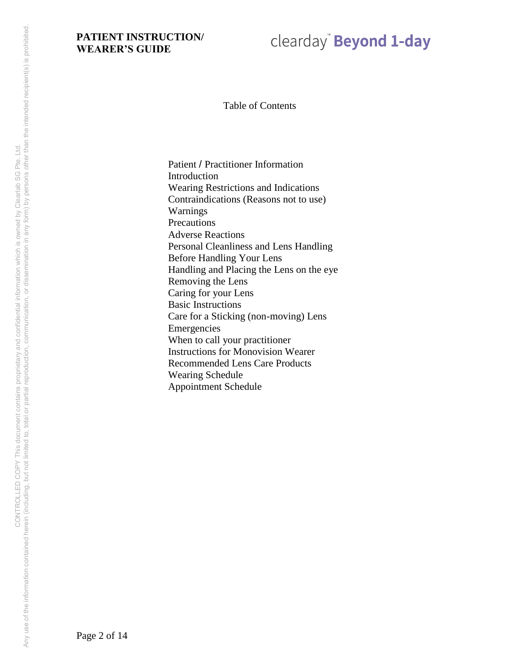# clearday" Beyond 1-day

Table of Contents

Patient / Practitioner Information Introduction Wearing Restrictions and Indications Contraindications (Reasons not to use) Warnings **Precautions** Adverse Reactions Personal Cleanliness and Lens Handling Before Handling Your Lens Handling and Placing the Lens on the eye Removing the Lens Caring for your Lens Basic Instructions Care for a Sticking (non-moving) Lens Emergencies When to call your practitioner Instructions for Monovision Wearer Recommended Lens Care Products Wearing Schedule Appointment Schedule

Page 2 of 14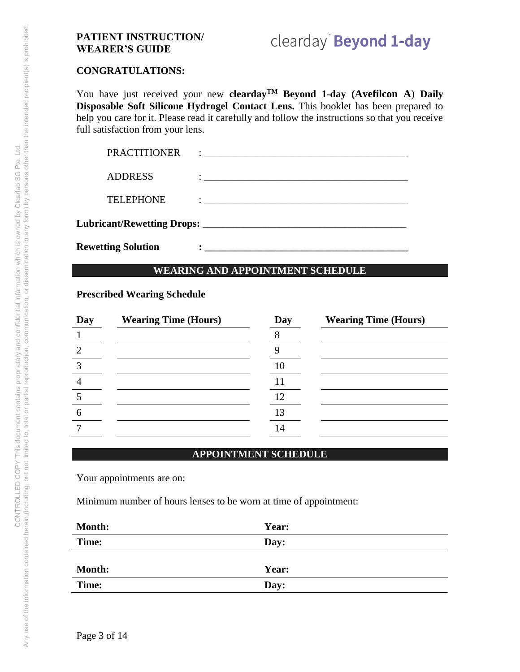# clearday" Beyond 1-day

#### **CONGRATULATIONS:**

You have just received your new **cleardayTM Beyond 1-day (Avefilcon A**) **Daily Disposable Soft Silicone Hydrogel Contact Lens.** This booklet has been prepared to help you care for it. Please read it carefully and follow the instructions so that you receive full satisfaction from your lens.

| <b>Rewetting Solution</b> |                                                                                                                        |  |
|---------------------------|------------------------------------------------------------------------------------------------------------------------|--|
|                           |                                                                                                                        |  |
| <b>TELEPHONE</b>          |                                                                                                                        |  |
| <b>ADDRESS</b>            | <u> 1989 - Johann Stein, mars et al. 1989 - Anna ann an t-Anna ann an t-Anna ann an t-Anna ann an t-Anna ann an t-</u> |  |
| <b>PRACTITIONER</b>       |                                                                                                                        |  |

### **WEARING AND APPOINTMENT SCHEDULE**

### **Prescribed Wearing Schedule**

| Day | <b>Wearing Time (Hours)</b> | Day | <b>Wearing Time (Hours)</b> |
|-----|-----------------------------|-----|-----------------------------|
|     |                             |     |                             |
|     |                             |     |                             |
|     |                             |     |                             |
|     |                             |     |                             |
|     |                             | 12  |                             |
|     |                             | 13  |                             |
|     |                             |     |                             |

#### **APPOINTMENT SCHEDULE**

Your appointments are on:

Minimum number of hours lenses to be worn at time of appointment:

| Year: |
|-------|
| Day:  |
|       |
| Year: |
| Day:  |
|       |

Page 3 of 14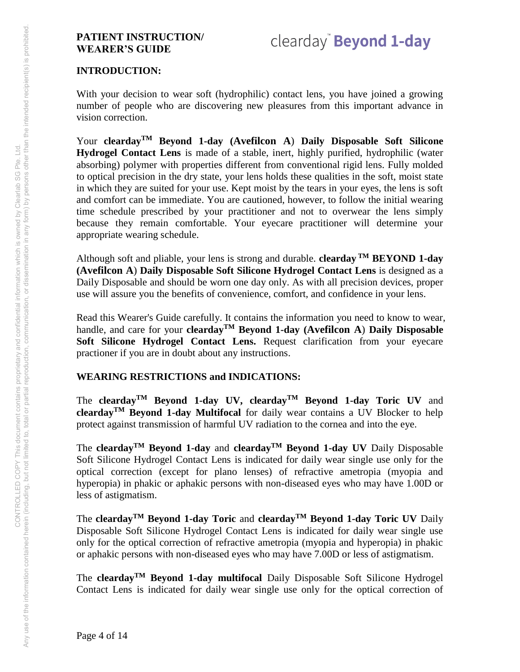# clearday<sup>"</sup> Beyond 1-day

#### **INTRODUCTION:**

With your decision to wear soft (hydrophilic) contact lens, you have joined a growing number of people who are discovering new pleasures from this important advance in vision correction.

Your **cleardayTM Beyond 1-day (Avefilcon A**) **Daily Disposable Soft Silicone Hydrogel Contact Lens** is made of a stable, inert, highly purified, hydrophilic (water absorbing) polymer with properties different from conventional rigid lens. Fully molded to optical precision in the dry state, your lens holds these qualities in the soft, moist state in which they are suited for your use. Kept moist by the tears in your eyes, the lens is soft and comfort can be immediate. You are cautioned, however, to follow the initial wearing time schedule prescribed by your practitioner and not to overwear the lens simply because they remain comfortable. Your eyecare practitioner will determine your appropriate wearing schedule.

Although soft and pliable, your lens is strong and durable. **clearday TM BEYOND 1-day (Avefilcon A**) **Daily Disposable Soft Silicone Hydrogel Contact Lens** is designed as a Daily Disposable and should be worn one day only. As with all precision devices, proper use will assure you the benefits of convenience, comfort, and confidence in your lens.

Read this Wearer's Guide carefully. It contains the information you need to know to wear, handle, and care for your **cleardayTM Beyond 1-day (Avefilcon A**) **Daily Disposable Soft Silicone Hydrogel Contact Lens.** Request clarification from your eyecare practioner if you are in doubt about any instructions.

#### **WEARING RESTRICTIONS and INDICATIONS:**

The **cleardayTM Beyond 1-day UV, cleardayTM Beyond 1-day Toric UV** and **cleardayTM Beyond 1-day Multifocal** for daily wear contains a UV Blocker to help protect against transmission of harmful UV radiation to the cornea and into the eye.

The **clearday**<sup>TM</sup> Beyond 1-day and **clearday**<sup>TM</sup> Beyond 1-day UV Daily Disposable Soft Silicone Hydrogel Contact Lens is indicated for daily wear single use only for the optical correction (except for plano lenses) of refractive ametropia (myopia and hyperopia) in phakic or aphakic persons with non-diseased eyes who may have 1.00D or less of astigmatism.

The **cleardayTM Beyond 1-day Toric** and **cleardayTM Beyond 1-day Toric UV** Daily Disposable Soft Silicone Hydrogel Contact Lens is indicated for daily wear single use only for the optical correction of refractive ametropia (myopia and hyperopia) in phakic or aphakic persons with non-diseased eyes who may have 7.00D or less of astigmatism.

The **cleardayTM Beyond 1-day multifocal** Daily Disposable Soft Silicone Hydrogel Contact Lens is indicated for daily wear single use only for the optical correction of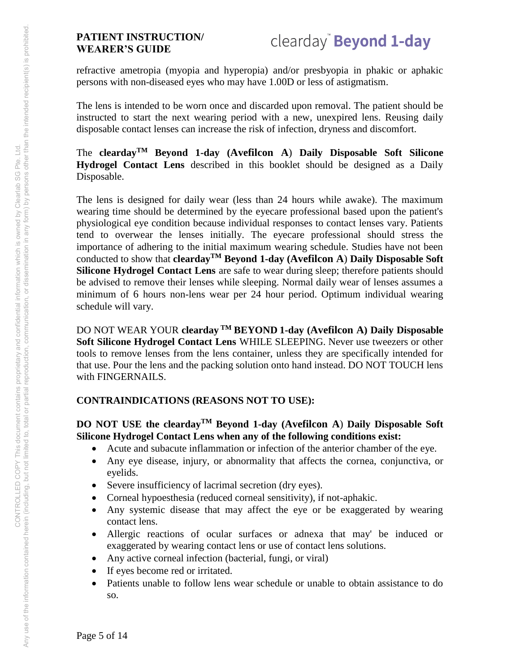refractive ametropia (myopia and hyperopia) and/or presbyopia in phakic or aphakic persons with non-diseased eyes who may have 1.00D or less of astigmatism.

The lens is intended to be worn once and discarded upon removal. The patient should be instructed to start the next wearing period with a new, unexpired lens. Reusing daily disposable contact lenses can increase the risk of infection, dryness and discomfort.

The **cleardayTM Beyond 1-day (Avefilcon A**) **Daily Disposable Soft Silicone Hydrogel Contact Lens** described in this booklet should be designed as a Daily Disposable.

The lens is designed for daily wear (less than 24 hours while awake). The maximum wearing time should be determined by the eyecare professional based upon the patient's physiological eye condition because individual responses to contact lenses vary. Patients tend to overwear the lenses initially. The eyecare professional should stress the importance of adhering to the initial maximum wearing schedule. Studies have not been conducted to show that **cleardayTM Beyond 1-day (Avefilcon A**) **Daily Disposable Soft Silicone Hydrogel Contact Lens** are safe to wear during sleep; therefore patients should be advised to remove their lenses while sleeping. Normal daily wear of lenses assumes a minimum of 6 hours non-lens wear per 24 hour period. Optimum individual wearing schedule will vary.

DO NOT WEAR YOUR **clearday TM BEYOND 1-day (Avefilcon A) Daily Disposable Soft Silicone Hydrogel Contact Lens** WHILE SLEEPING. Never use tweezers or other tools to remove lenses from the lens container, unless they are specifically intended for that use. Pour the lens and the packing solution onto hand instead. DO NOT TOUCH lens with FINGERNAILS.

# **CONTRAINDICATIONS (REASONS NOT TO USE):**

# **DO NOT USE the cleardayTM Beyond 1-day (Avefilcon A**) **Daily Disposable Soft Silicone Hydrogel Contact Lens when any of the following conditions exist:**

- Acute and subacute inflammation or infection of the anterior chamber of the eye.
- Any eye disease, injury, or abnormality that affects the cornea, conjunctiva, or eyelids.
- Severe insufficiency of lacrimal secretion (dry eyes).
- Corneal hypoesthesia (reduced corneal sensitivity), if not-aphakic.
- Any systemic disease that may affect the eye or be exaggerated by wearing contact lens.
- Allergic reactions of ocular surfaces or adnexa that may' be induced or exaggerated by wearing contact lens or use of contact lens solutions.
- Any active corneal infection (bacterial, fungi, or viral)
- If eyes become red or irritated.
- Patients unable to follow lens wear schedule or unable to obtain assistance to do so.

Page 5 of 14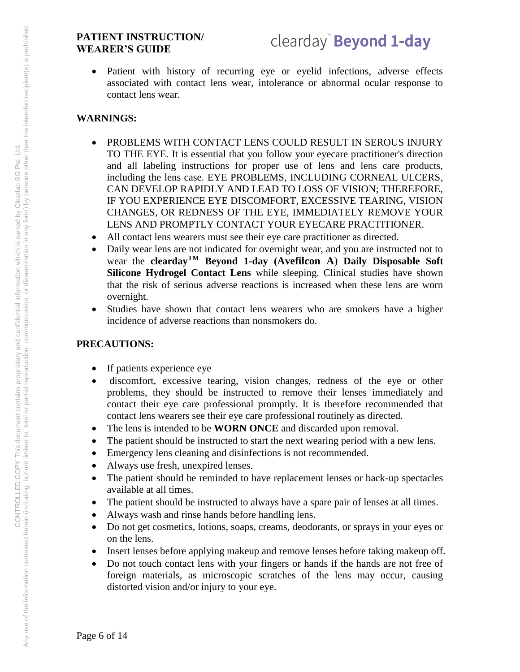• Patient with history of recurring eye or eyelid infections, adverse effects associated with contact lens wear, intolerance or abnormal ocular response to contact lens wear.

# **WARNINGS:**

- PROBLEMS WITH CONTACT LENS COULD RESULT IN SEROUS INJURY TO THE EYE. It is essential that you follow your eyecare practitioner's direction and all labeling instructions for proper use of lens and lens care products, including the lens case. EYE PROBLEMS, INCLUDING CORNEAL ULCERS, CAN DEVELOP RAPIDLY AND LEAD TO LOSS OF VISION; THEREFORE, IF YOU EXPERIENCE EYE DISCOMFORT, EXCESSIVE TEARING, VISION CHANGES, OR REDNESS OF THE EYE, IMMEDIATELY REMOVE YOUR LENS AND PROMPTLY CONTACT YOUR EYECARE PRACTITIONER.
- All contact lens wearers must see their eye care practitioner as directed.
- Daily wear lens are not indicated for overnight wear, and you are instructed not to wear the **cleardayTM Beyond 1-day (Avefilcon A**) **Daily Disposable Soft Silicone Hydrogel Contact Lens** while sleeping. Clinical studies have shown that the risk of serious adverse reactions is increased when these lens are worn overnight.
- Studies have shown that contact lens wearers who are smokers have a higher incidence of adverse reactions than nonsmokers do.

# **PRECAUTIONS:**

- If patients experience eye
- discomfort, excessive tearing, vision changes, redness of the eye or other problems, they should be instructed to remove their lenses immediately and contact their eye care professional promptly. It is therefore recommended that contact lens wearers see their eye care professional routinely as directed.
- The lens is intended to be **WORN ONCE** and discarded upon removal.
- The patient should be instructed to start the next wearing period with a new lens.
- Emergency lens cleaning and disinfections is not recommended.
- Always use fresh, unexpired lenses.
- The patient should be reminded to have replacement lenses or back-up spectacles available at all times.
- The patient should be instructed to always have a spare pair of lenses at all times.
- Always wash and rinse hands before handling lens.
- Do not get cosmetics, lotions, soaps, creams, deodorants, or sprays in your eyes or on the lens.
- Insert lenses before applying makeup and remove lenses before taking makeup off.
- Do not touch contact lens with your fingers or hands if the hands are not free of foreign materials, as microscopic scratches of the lens may occur, causing distorted vision and/or injury to your eye.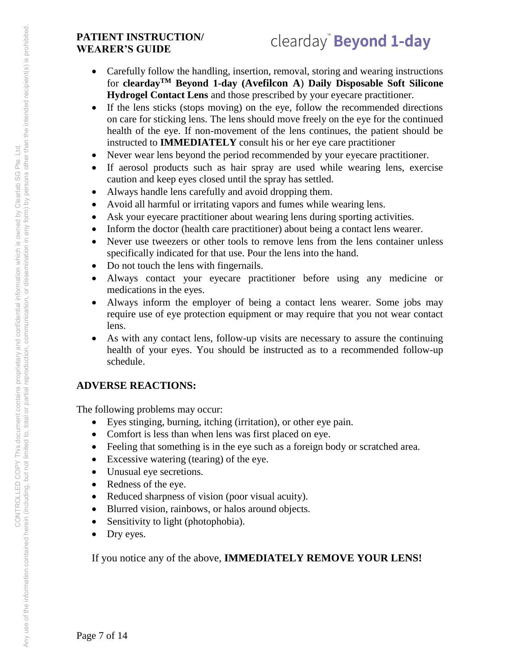- Carefully follow the handling, insertion, removal, storing and wearing instructions for **cleardayTM Beyond 1-day (Avefilcon A**) **Daily Disposable Soft Silicone Hydrogel Contact Lens** and those prescribed by your eyecare practitioner.
- If the lens sticks (stops moving) on the eye, follow the recommended directions on care for sticking lens. The lens should move freely on the eye for the continued health of the eye. If non-movement of the lens continues, the patient should be instructed to **IMMEDIATELY** consult his or her eye care practitioner
- Never wear lens beyond the period recommended by your eyecare practitioner.
- If aerosol products such as hair spray are used while wearing lens, exercise caution and keep eyes closed until the spray has settled.
- Always handle lens carefully and avoid dropping them.
- Avoid all harmful or irritating vapors and fumes while wearing lens.
- Ask your eyecare practitioner about wearing lens during sporting activities.
- Inform the doctor (health care practitioner) about being a contact lens wearer.
- Never use tweezers or other tools to remove lens from the lens container unless specifically indicated for that use. Pour the lens into the hand.
- Do not touch the lens with fingernails.
- Always contact your eyecare practitioner before using any medicine or medications in the eyes.
- Always inform the employer of being a contact lens wearer. Some jobs may require use of eye protection equipment or may require that you not wear contact lens.
- As with any contact lens, follow-up visits are necessary to assure the continuing health of your eyes. You should be instructed as to a recommended follow-up schedule.

# **ADVERSE REACTIONS:**

The following problems may occur:

- Eyes stinging, burning, itching (irritation), or other eye pain.
- Comfort is less than when lens was first placed on eye.
- Feeling that something is in the eye such as a foreign body or scratched area.
- Excessive watering (tearing) of the eye.
- Unusual eye secretions.
- Redness of the eye.
- Reduced sharpness of vision (poor visual acuity).
- Blurred vision, rainbows, or halos around objects.
- Sensitivity to light (photophobia).
- Dry eyes.

If you notice any of the above, **IMMEDIATELY REMOVE YOUR LENS!**

Page 7 of 14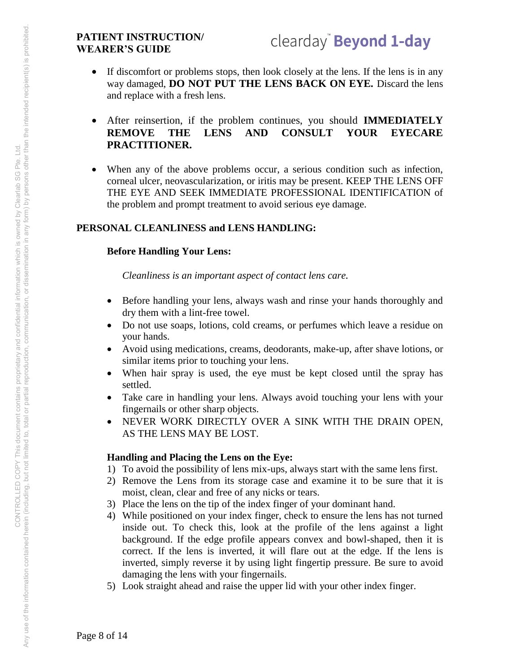- If discomfort or problems stops, then look closely at the lens. If the lens is in any way damaged, **DO NOT PUT THE LENS BACK ON EYE.** Discard the lens and replace with a fresh lens.
- After reinsertion, if the problem continues, you should **IMMEDIATELY REMOVE THE LENS AND CONSULT YOUR EYECARE PRACTITIONER.**
- When any of the above problems occur, a serious condition such as infection, corneal ulcer, neovascularization, or iritis may be present. KEEP THE LENS OFF THE EYE AND SEEK IMMEDIATE PROFESSIONAL IDENTIFICATION of the problem and prompt treatment to avoid serious eye damage.

#### **PERSONAL CLEANLINESS and LENS HANDLING:**

#### **Before Handling Your Lens:**

*Cleanliness is an important aspect of contact lens care.* 

- Before handling your lens, always wash and rinse your hands thoroughly and dry them with a lint-free towel.
- Do not use soaps, lotions, cold creams, or perfumes which leave a residue on your hands.
- Avoid using medications, creams, deodorants, make-up, after shave lotions, or similar items prior to touching your lens.
- When hair spray is used, the eye must be kept closed until the spray has settled.
- Take care in handling your lens. Always avoid touching your lens with your fingernails or other sharp objects.
- NEVER WORK DIRECTLY OVER A SINK WITH THE DRAIN OPEN, AS THE LENS MAY BE LOST.

#### **Handling and Placing the Lens on the Eye:**

- 1) To avoid the possibility of lens mix-ups, always start with the same lens first.
- 2) Remove the Lens from its storage case and examine it to be sure that it is moist, clean, clear and free of any nicks or tears.
- 3) Place the lens on the tip of the index finger of your dominant hand.
- 4) While positioned on your index finger, check to ensure the lens has not turned inside out. To check this, look at the profile of the lens against a light background. If the edge profile appears convex and bowl-shaped, then it is correct. If the lens is inverted, it will flare out at the edge. If the lens is inverted, simply reverse it by using light fingertip pressure. Be sure to avoid damaging the lens with your fingernails.
- 5) Look straight ahead and raise the upper lid with your other index finger.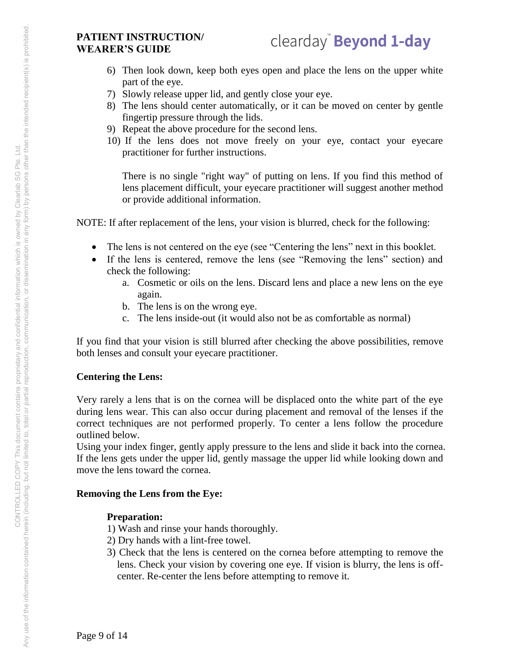- 6) Then look down, keep both eyes open and place the lens on the upper white part of the eye.
- 7) Slowly release upper lid, and gently close your eye.
- 8) The lens should center automatically, or it can be moved on center by gentle fingertip pressure through the lids.
- 9) Repeat the above procedure for the second lens.
- 10) If the lens does not move freely on your eye, contact your eyecare practitioner for further instructions.

There is no single "right way" of putting on lens. If you find this method of lens placement difficult, your eyecare practitioner will suggest another method or provide additional information.

NOTE: If after replacement of the lens, your vision is blurred, check for the following:

- The lens is not centered on the eye (see "Centering the lens" next in this booklet.
- If the lens is centered, remove the lens (see "Removing the lens" section) and check the following:
	- a. Cosmetic or oils on the lens. Discard lens and place a new lens on the eye again.
	- b. The lens is on the wrong eye.
	- c. The lens inside-out (it would also not be as comfortable as normal)

If you find that your vision is still blurred after checking the above possibilities, remove both lenses and consult your eyecare practitioner.

#### **Centering the Lens:**

Very rarely a lens that is on the cornea will be displaced onto the white part of the eye during lens wear. This can also occur during placement and removal of the lenses if the correct techniques are not performed properly. To center a lens follow the procedure outlined below.

Using your index finger, gently apply pressure to the lens and slide it back into the cornea. If the lens gets under the upper lid, gently massage the upper lid while looking down and move the lens toward the cornea.

#### **Removing the Lens from the Eye:**

#### **Preparation:**

- 1) Wash and rinse your hands thoroughly.
- 2) Dry hands with a lint-free towel.
- 3) Check that the lens is centered on the cornea before attempting to remove the lens. Check your vision by covering one eye. If vision is blurry, the lens is offcenter. Re-center the lens before attempting to remove it.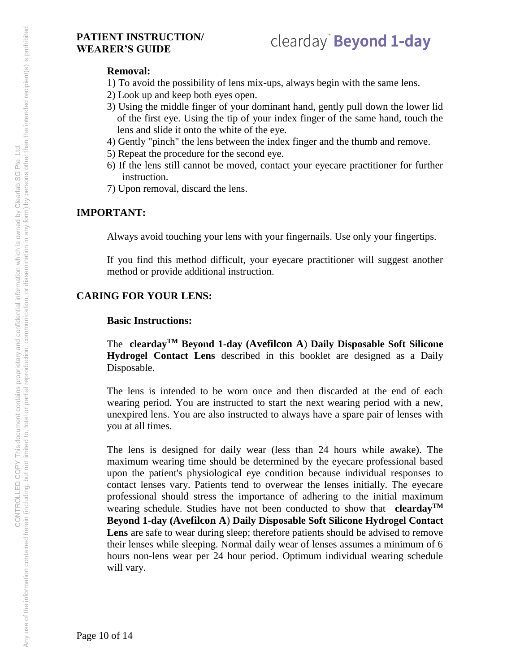# clearday" Beyond 1-day

#### **Removal:**

- 1) To avoid the possibility of lens mix-ups, always begin with the same lens.
- 2) Look up and keep both eyes open.
- 3) Using the middle finger of your dominant hand, gently pull down the lower lid of the first eye. Using the tip of your index finger of the same hand, touch the lens and slide it onto the white of the eye.
- 4) Gently "pinch" the lens between the index finger and the thumb and remove.
- 5) Repeat the procedure for the second eye.
- 6) If the lens still cannot be moved, contact your eyecare practitioner for further instruction.
- 7) Upon removal, discard the lens.

## **IMPORTANT:**

Always avoid touching your lens with your fingernails. Use only your fingertips.

If you find this method difficult, your eyecare practitioner will suggest another method or provide additional instruction.

# **CARING FOR YOUR LENS:**

#### **Basic Instructions:**

The **cleardayTM Beyond 1-day (Avefilcon A**) **Daily Disposable Soft Silicone Hydrogel Contact Lens** described in this booklet are designed as a Daily Disposable.

The lens is intended to be worn once and then discarded at the end of each wearing period. You are instructed to start the next wearing period with a new, unexpired lens. You are also instructed to always have a spare pair of lenses with you at all times.

The lens is designed for daily wear (less than 24 hours while awake). The maximum wearing time should be determined by the eyecare professional based upon the patient's physiological eye condition because individual responses to contact lenses vary. Patients tend to overwear the lenses initially. The eyecare professional should stress the importance of adhering to the initial maximum wearing schedule. Studies have not been conducted to show that **cleardayTM Beyond 1-day (Avefilcon A**) **Daily Disposable Soft Silicone Hydrogel Contact**  Lens are safe to wear during sleep; therefore patients should be advised to remove their lenses while sleeping. Normal daily wear of lenses assumes a minimum of 6 hours non-lens wear per 24 hour period. Optimum individual wearing schedule will vary.

Page 10 of 14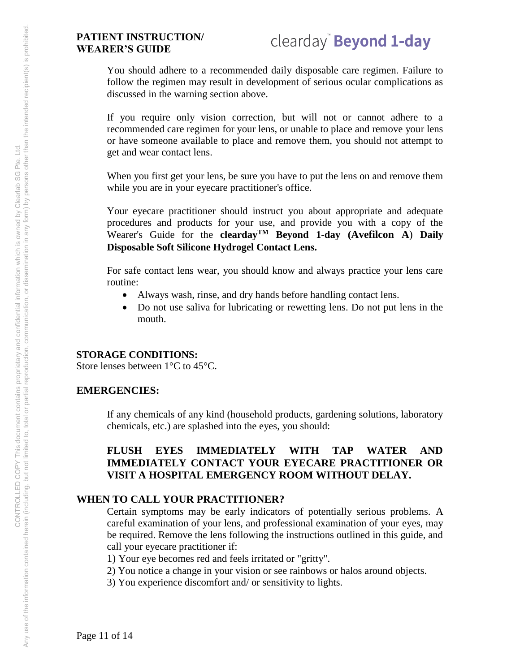# clearday<sup>"</sup> Beyond 1-day

You should adhere to a recommended daily disposable care regimen. Failure to follow the regimen may result in development of serious ocular complications as discussed in the warning section above.

If you require only vision correction, but will not or cannot adhere to a recommended care regimen for your lens, or unable to place and remove your lens or have someone available to place and remove them, you should not attempt to get and wear contact lens.

When you first get your lens, be sure you have to put the lens on and remove them while you are in your eyecare practitioner's office.

Your eyecare practitioner should instruct you about appropriate and adequate procedures and products for your use, and provide you with a copy of the Wearer's Guide for the **cleardayTM Beyond 1-day (Avefilcon A**) **Daily Disposable Soft Silicone Hydrogel Contact Lens.**

For safe contact lens wear, you should know and always practice your lens care routine:

- Always wash, rinse, and dry hands before handling contact lens.
- Do not use saliva for lubricating or rewetting lens. Do not put lens in the mouth.

#### **STORAGE CONDITIONS:**

Store lenses between 1°C to 45°C.

#### **EMERGENCIES:**

If any chemicals of any kind (household products, gardening solutions, laboratory chemicals, etc.) are splashed into the eyes, you should:

#### **FLUSH EYES IMMEDIATELY WITH TAP WATER AND IMMEDIATELY CONTACT YOUR EYECARE PRACTITIONER OR VISIT A HOSPITAL EMERGENCY ROOM WITHOUT DELAY.**

#### **WHEN TO CALL YOUR PRACTITIONER?**

Certain symptoms may be early indicators of potentially serious problems. A careful examination of your lens, and professional examination of your eyes, may be required. Remove the lens following the instructions outlined in this guide, and call your eyecare practitioner if:

1) Your eye becomes red and feels irritated or "gritty".

- 2) You notice a change in your vision or see rainbows or halos around objects.
- 3) You experience discomfort and/ or sensitivity to lights.

Page 11 of 14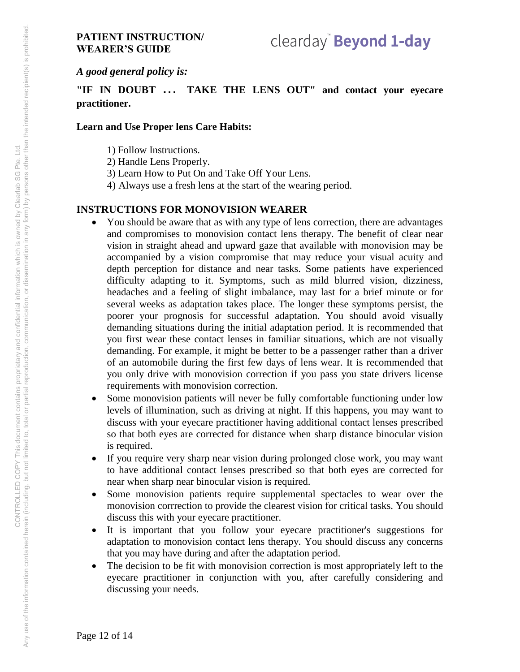# clearday" Beyond 1-day

*A good general policy is:* 

**"IF IN DOUBT** ... **TAKE THE LENS OUT" and contact your eyecare practitioner.** 

#### **Learn and Use Proper lens Care Habits:**

- 1) Follow Instructions.
- 2) Handle Lens Properly.
- 3) Learn How to Put On and Take Off Your Lens.
- 4) Always use a fresh lens at the start of the wearing period.

## **INSTRUCTIONS FOR MONOVISION WEARER**

- You should be aware that as with any type of lens correction, there are advantages and compromises to monovision contact lens therapy. The benefit of clear near vision in straight ahead and upward gaze that available with monovision may be accompanied by a vision compromise that may reduce your visual acuity and depth perception for distance and near tasks. Some patients have experienced difficulty adapting to it. Symptoms, such as mild blurred vision, dizziness, headaches and a feeling of slight imbalance, may last for a brief minute or for several weeks as adaptation takes place. The longer these symptoms persist, the poorer your prognosis for successful adaptation. You should avoid visually demanding situations during the initial adaptation period. It is recommended that you first wear these contact lenses in familiar situations, which are not visually demanding. For example, it might be better to be a passenger rather than a driver of an automobile during the first few days of lens wear. It is recommended that you only drive with monovision correction if you pass you state drivers license requirements with monovision correction.
- Some monovision patients will never be fully comfortable functioning under low levels of illumination, such as driving at night. If this happens, you may want to discuss with your eyecare practitioner having additional contact lenses prescribed so that both eyes are corrected for distance when sharp distance binocular vision is required.
- If you require very sharp near vision during prolonged close work, you may want to have additional contact lenses prescribed so that both eyes are corrected for near when sharp near binocular vision is required.
- Some monovision patients require supplemental spectacles to wear over the monovision corrrection to provide the clearest vision for critical tasks. You should discuss this with your eyecare practitioner.
- It is important that you follow your eyecare practitioner's suggestions for adaptation to monovision contact lens therapy. You should discuss any concerns that you may have during and after the adaptation period.
- The decision to be fit with monovision correction is most appropriately left to the eyecare practitioner in conjunction with you, after carefully considering and discussing your needs.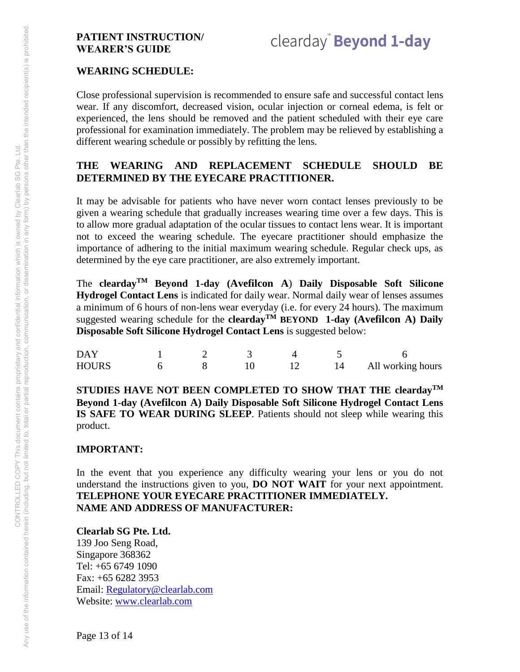# clearday<sup>"</sup> Beyond 1-day

#### **WEARING SCHEDULE:**

Close professional supervision is recommended to ensure safe and successful contact lens wear. If any discomfort, decreased vision, ocular injection or corneal edema, is felt or experienced, the lens should be removed and the patient scheduled with their eye care professional for examination immediately. The problem may be relieved by establishing a different wearing schedule or possibly by refitting the lens.

#### **THE WEARING AND REPLACEMENT SCHEDULE SHOULD BE DETERMINED BY THE EYECARE PRACTITIONER.**

It may be advisable for patients who have never worn contact lenses previously to be given a wearing schedule that gradually increases wearing time over a few days. This is to allow more gradual adaptation of the ocular tissues to contact lens wear. It is important not to exceed the wearing schedule. The eyecare practitioner should emphasize the importance of adhering to the initial maximum wearing schedule. Regular check ups, as determined by the eye care practitioner, are also extremely important.

The **cleardayTM Beyond 1-day (Avefilcon A**) **Daily Disposable Soft Silicone Hydrogel Contact Lens** is indicated for daily wear. Normal daily wear of lenses assumes a minimum of 6 hours of non-lens wear everyday (i.e. for every 24 hours). The maximum suggested wearing schedule for the **clearday**<sup>TM</sup> BEYOND 1-day (Avefilcon A) Daily **Disposable Soft Silicone Hydrogel Contact Lens** is suggested below:

| DAY   |  |  |                   |
|-------|--|--|-------------------|
| HOURS |  |  | All working hours |

**STUDIES HAVE NOT BEEN COMPLETED TO SHOW THAT THE cleardayTM Beyond 1-day (Avefilcon A) Daily Disposable Soft Silicone Hydrogel Contact Lens IS SAFE TO WEAR DURING SLEEP**. Patients should not sleep while wearing this product.

#### **IMPORTANT:**

In the event that you experience any difficulty wearing your lens or you do not understand the instructions given to you, **DO NOT WAIT** for your next appointment. **TELEPHONE YOUR EYECARE PRACTITIONER IMMEDIATELY. NAME AND ADDRESS OF MANUFACTURER:** 

**Clearlab SG Pte. Ltd.**  139 Joo Seng Road, Singapore 368362 Tel: +65 6749 1090 Fax: +65 6282 3953 Email: [Regulatory@clearlab.com](mailto:Regulatory@clearlab.com) Website: [www.clearlab.com](http://www.clearlab.com/)

Page 13 of 14